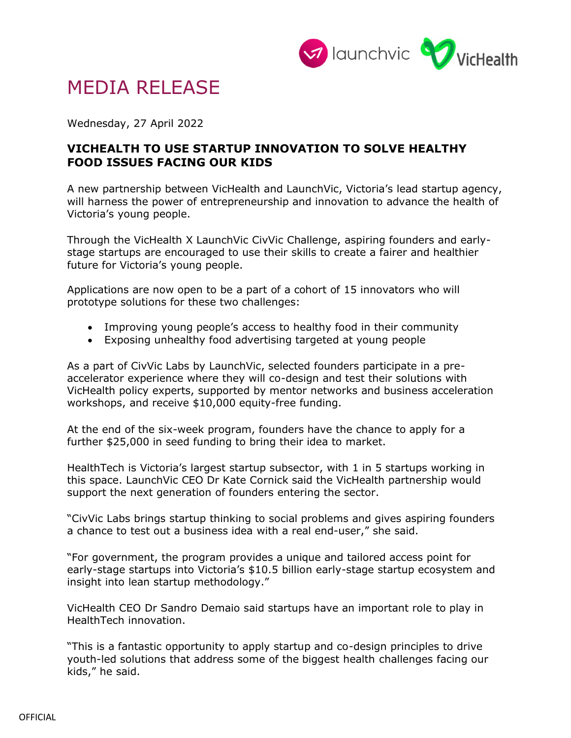

# MEDIA RELEASE

Wednesday, 27 April 2022

## **VICHEALTH TO USE STARTUP INNOVATION TO SOLVE HEALTHY FOOD ISSUES FACING OUR KIDS**

A new partnership between VicHealth and LaunchVic, Victoria's lead startup agency, will harness the power of entrepreneurship and innovation to advance the health of Victoria's young people.

Through the VicHealth X LaunchVic CivVic Challenge, aspiring founders and earlystage startups are encouraged to use their skills to create a fairer and healthier future for Victoria's young people.

Applications are now open to be a part of a cohort of 15 innovators who will prototype solutions for these two challenges:

- Improving young people's access to healthy food in their community
- Exposing unhealthy food advertising targeted at young people

As a part of CivVic Labs by LaunchVic, selected founders participate in a preaccelerator experience where they will co-design and test their solutions with VicHealth policy experts, supported by mentor networks and business acceleration workshops, and receive \$10,000 equity-free funding.

At the end of the six-week program, founders have the chance to apply for a further \$25,000 in seed funding to bring their idea to market.

HealthTech is Victoria's largest startup subsector, with 1 in 5 startups working in this space. LaunchVic CEO Dr Kate Cornick said the VicHealth partnership would support the next generation of founders entering the sector. 

"CivVic Labs brings startup thinking to social problems and gives aspiring founders a chance to test out a business idea with a real end-user," she said. 

"For government, the program provides a unique and tailored access point for early-stage startups into Victoria's \$10.5 billion early-stage startup ecosystem and insight into lean startup methodology."

VicHealth CEO Dr Sandro Demaio said startups have an important role to play in HealthTech innovation. 

"This is a fantastic opportunity to apply startup and co-design principles to drive youth-led solutions that address some of the biggest health challenges facing our kids," he said.